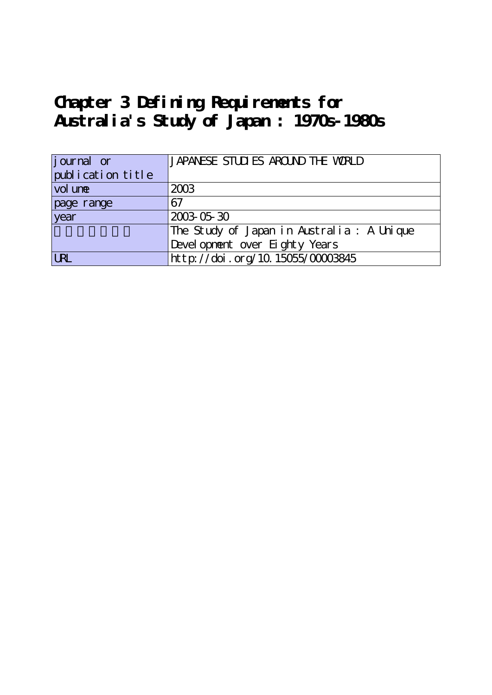## **Chapter 3 Defining Requirements for Australia's Study of Japan : 1970s-1980s**

| journal or        | JAPANESE STUDIES AROUND THE WORLD               |
|-------------------|-------------------------------------------------|
| publication title |                                                 |
| vol une           | 2003                                            |
| page range        | 67                                              |
| year              | 2003-05-30                                      |
|                   | The Study of Japan in Australia : A Unique      |
|                   | Devel opnent over Eighty Years                  |
| <b>LRL</b>        | $\frac{1}{10}$ http://doi.org/10.15055/00003845 |